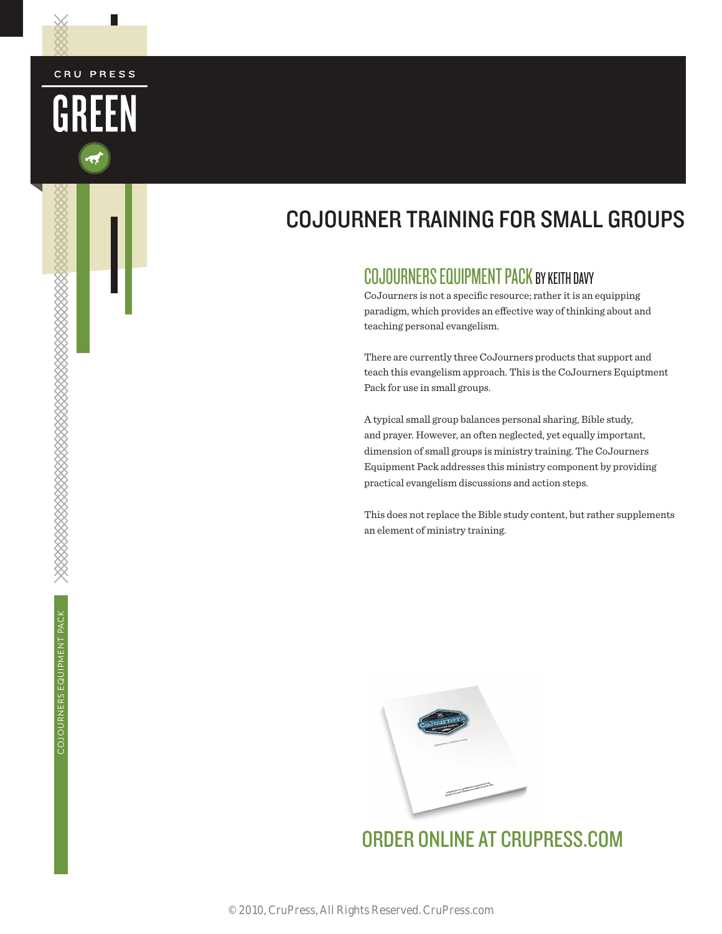# COJOURNER TRAINING FOR SMALL GROUPS

## COJOURNERS EQUIPMENT PACK BY KEITH DAVY

CoJourners is not a specific resource; rather it is an equipping paradigm, which provides an effective way of thinking about and teaching personal evangelism.

There are currently three CoJourners products that support and teach this evangelism approach. This is the CoJourners Equiptment Pack for use in small groups.

A typical small group balances personal sharing, Bible study, and prayer. However, an often neglected, yet equally important, dimension of small groups is ministry training. The CoJourners Equipment Pack addresses this ministry component by providing practical evangelism discussions and action steps.

This does not replace the Bible study content, but rather supplements an element of ministry training.



[ORDER ONLINE AT CRUPRESS.COM](http://crupress.campuscrusadeforchrist.com/evangelism/cojourners)

L

CRU PRESS

GREEN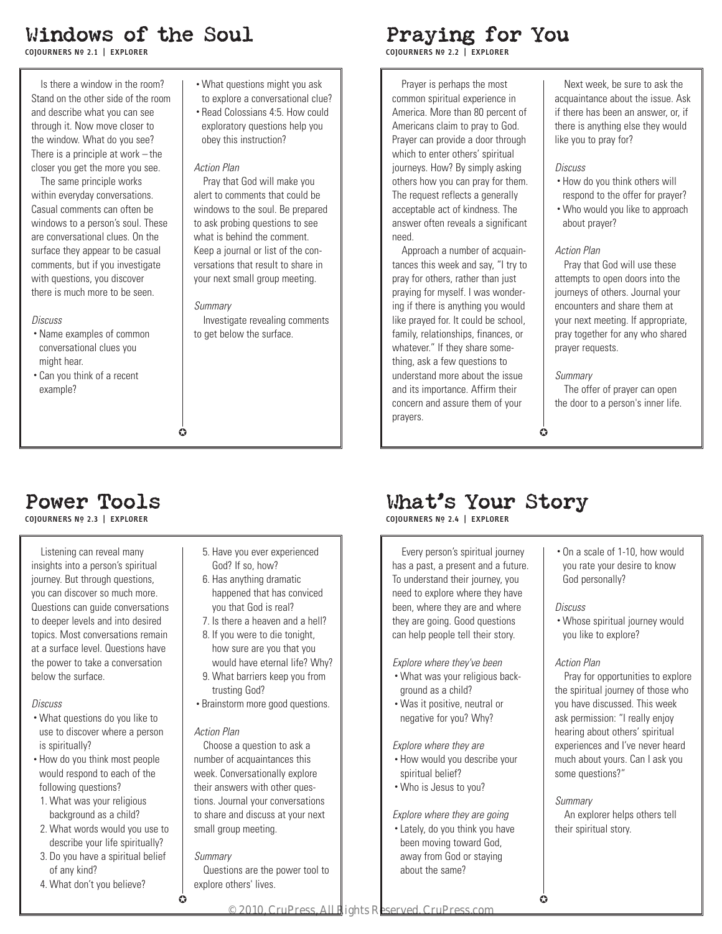## Windows of the Soul

**COJOURNERS No\_ 2.1 | EXPLORER**

Is there a window in the room? Stand on the other side of the room and describe what you can see through it. Now move closer to the window. What do you see? There is a principle at work  $-$  the closer you get the more you see.

The same principle works within everyday conversations. Casual comments can often be windows to a person's soul. These are conversational clues. On the surface they appear to be casual comments, but if you investigate with questions, you discover there is much more to be seen.

### *Discuss*

- Name examples of common conversational clues you might hear.
- Can you think of a recent example?

## • What questions might you ask

- to explore a conversational clue?
- Read Colossians 4:5. How could exploratory questions help you obey this instruction?

### *Action Plan*

Pray that God will make you alert to comments that could be windows to the soul. Be prepared to ask probing questions to see what is behind the comment. Keep a journal or list of the conversations that result to share in your next small group meeting.

#### *Summary*

 $\bullet$ 

Investigate revealing comments to get below the surface.

## Praying for You

**COJOURNERS No\_ 2.2 | EXPLORER**

Prayer is perhaps the most common spiritual experience in America. More than 80 percent of Americans claim to pray to God. Prayer can provide a door through which to enter others' spiritual journeys. How? By simply asking others how you can pray for them. The request reflects a generally acceptable act of kindness. The answer often reveals a significant need.

Approach a number of acquaintances this week and say, "I try to pray for others, rather than just praying for myself. I was wondering if there is anything you would like prayed for. It could be school, family, relationships, finances, or whatever." If they share something, ask a few questions to understand more about the issue and its importance. Affirm their concern and assure them of your prayers.

Next week, be sure to ask the acquaintance about the issue. Ask if there has been an answer, or, if there is anything else they would like you to pray for?

### *Discuss*

- How do you think others will respond to the offer for prayer?
- Who would you like to approach about prayer?

### *Action Plan*

Pray that God will use these attempts to open doors into the journeys of others. Journal your encounters and share them at your next meeting. If appropriate, pray together for any who shared prayer requests.

### *Summary*

The offer of prayer can open the door to a person's inner life.

 $\bullet$ 

## Power Tools

**COJOURNERS No\_ 2.3 | EXPLORER**

Listening can reveal many insights into a person's spiritual journey. But through questions, you can discover so much more. Questions can guide conversations to deeper levels and into desired topics. Most conversations remain at a surface level. Questions have the power to take a conversation below the surface.

### *Discuss*

- What questions do you like to use to discover where a person is spiritually?
- How do you think most people would respond to each of the following questions?
- 1. What was your religious background as a child?
- 2. What words would you use to describe your life spiritually?
- 3. Do you have a spiritual belief of any kind?
- 4. What don't you believe?
- 5. Have you ever experienced God? If so, how?
- 6. Has anything dramatic happened that has conviced you that God is real?
- 7. Is there a heaven and a hell?
- 8. If you were to die tonight, how sure are you that you would have eternal life? Why?
- 9. What barriers keep you from trusting God?
- Brainstorm more good questions.

### *Action Plan*

Choose a question to ask a number of acquaintances this week. Conversationally explore their answers with other questions. Journal your conversations to share and discuss at your next small group meeting.

### *Summary*

 $\bullet$ 

Questions are the power tool to explore others' lives.

# What's Your Story

**COJOURNERS No\_ 2.4 | EXPLORER**

Every person's spiritual journey has a past, a present and a future. To understand their journey, you need to explore where they have been, where they are and where they are going. Good questions can help people tell their story.

## *Explore where they've been*

- What was your religious background as a child?
- Was it positive, neutral or negative for you? Why?

### *Explore where they are*

- How would you describe your spiritual belief?
- Who is Jesus to you?

### *Explore where they are going*

• Lately, do you think you have been moving toward God, away from God or staying about the same?

• On a scale of 1-10, how would you rate your desire to know God personally?

#### *Discuss*

• Whose spiritual journey would you like to explore?

### *Action Plan*

Pray for opportunities to explore the spiritual journey of those who you have discussed. This week ask permission: "I really enjoy hearing about others' spiritual experiences and I've never heard much about yours. Can I ask you some questions?"

#### *Summary*

An explorer helps others tell their spiritual story.

 $\bullet$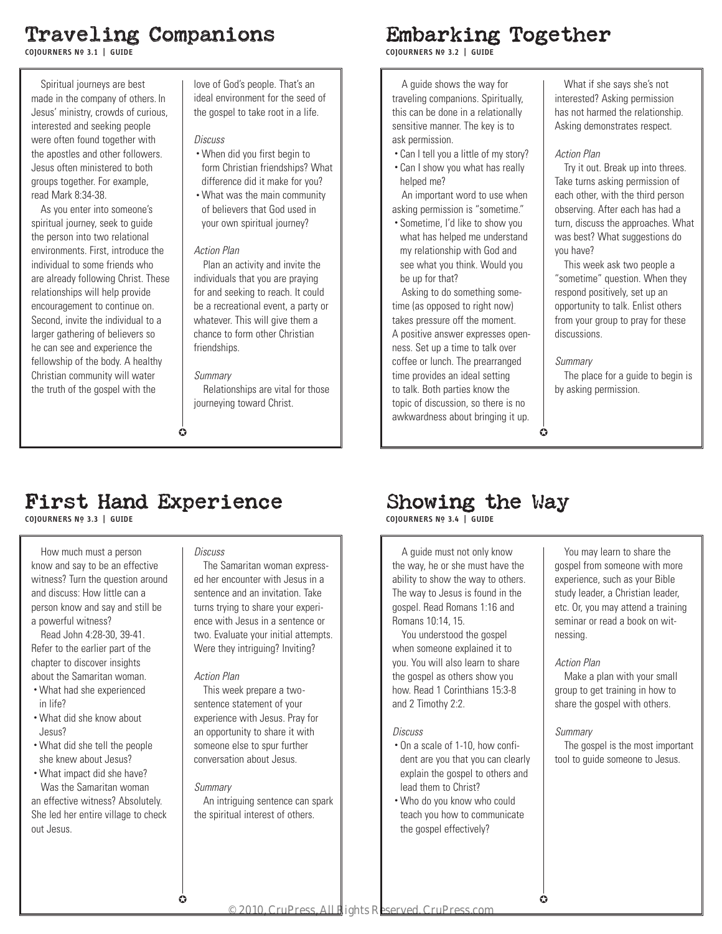# Traveling Companions

**COJOURNERS No\_ 3.1 | GUIDE**

Spiritual journeys are best made in the company of others. In Jesus' ministry, crowds of curious, interested and seeking people were often found together with the apostles and other followers. Jesus often ministered to both groups together. For example, read Mark 8:34-38.

As you enter into someone's spiritual journey, seek to guide the person into two relational environments. First, introduce the individual to some friends who are already following Christ. These relationships will help provide encouragement to continue on. Second, invite the individual to a larger gathering of believers so he can see and experience the fellowship of the body. A healthy Christian community will water the truth of the gospel with the

love of God's people. That's an ideal environment for the seed of the gospel to take root in a life.

### *Discuss*

- When did you first begin to form Christian friendships? What difference did it make for you?
- What was the main community of believers that God used in your own spiritual journey?

### *Action Plan*

Plan an activity and invite the individuals that you are praying for and seeking to reach. It could be a recreational event, a party or whatever. This will give them a chance to form other Christian friendships.

### *Summary*

 $\bullet$ 

Relationships are vital for those journeying toward Christ.

## Embarking Together

**COJOURNERS No\_ 3.2 | GUIDE**

A guide shows the way for traveling companions. Spiritually, this can be done in a relationally sensitive manner. The key is to ask permission.

- Can I tell you a little of my story?
- Can I show you what has really helped me?

An important word to use when asking permission is "sometime."

• Sometime, I'd like to show you what has helped me understand my relationship with God and see what you think. Would you be up for that?

Asking to do something sometime (as opposed to right now) takes pressure off the moment. A positive answer expresses openness. Set up a time to talk over coffee or lunch. The prearranged time provides an ideal setting to talk. Both parties know the topic of discussion, so there is no awkwardness about bringing it up.

What if she says she's not interested? Asking permission has not harmed the relationship. Asking demonstrates respect.

### *Action Plan*

Try it out. Break up into threes. Take turns asking permission of each other, with the third person observing. After each has had a turn, discuss the approaches. What was best? What suggestions do you have?

This week ask two people a "sometime" question. When they respond positively, set up an opportunity to talk. Enlist others from your group to pray for these discussions.

### *Summary*

The place for a guide to begin is by asking permission.

## $\Omega$

## First Hand Experience

**COJOURNERS No\_ 3.3 | GUIDE**

How much must a person know and say to be an effective witness? Turn the question around and discuss: How little can a person know and say and still be a powerful witness?

Read John 4:28-30, 39-41. Refer to the earlier part of the chapter to discover insights about the Samaritan woman.

- What had she experienced in life?
- What did she know about Jesus?
- What did she tell the people she knew about Jesus?

• What impact did she have? Was the Samaritan woman

an effective witness? Absolutely. She led her entire village to check out Jesus.

### *Discuss*

The Samaritan woman expressed her encounter with Jesus in a sentence and an invitation. Take turns trying to share your experience with Jesus in a sentence or two. Evaluate your initial attempts. Were they intriguing? Inviting?

### *Action Plan*

This week prepare a twosentence statement of your experience with Jesus. Pray for an opportunity to share it with someone else to spur further conversation about Jesus.

### *Summary*

 $\bullet$ 

An intriguing sentence can spark the spiritual interest of others.

# Showing the Way

**COJOURNERS No\_ 3.4 | GUIDE**

A guide must not only know the way, he or she must have the ability to show the way to others. The way to Jesus is found in the gospel. Read Romans 1:16 and Romans 10:14, 15.

You understood the gospel when someone explained it to you. You will also learn to share the gospel as others show you how. Read 1 Corinthians 15:3-8 and 2 Timothy 2:2.

### *Discuss*

- On a scale of 1-10, how confident are you that you can clearly explain the gospel to others and lead them to Christ?
- Who do you know who could teach you how to communicate the gospel effectively?

You may learn to share the gospel from someone with more experience, such as your Bible study leader, a Christian leader, etc. Or, you may attend a training seminar or read a book on witnessing.

### *Action Plan*

Make a plan with your small group to get training in how to share the gospel with others.

### *Summary*

The gospel is the most important tool to guide someone to Jesus.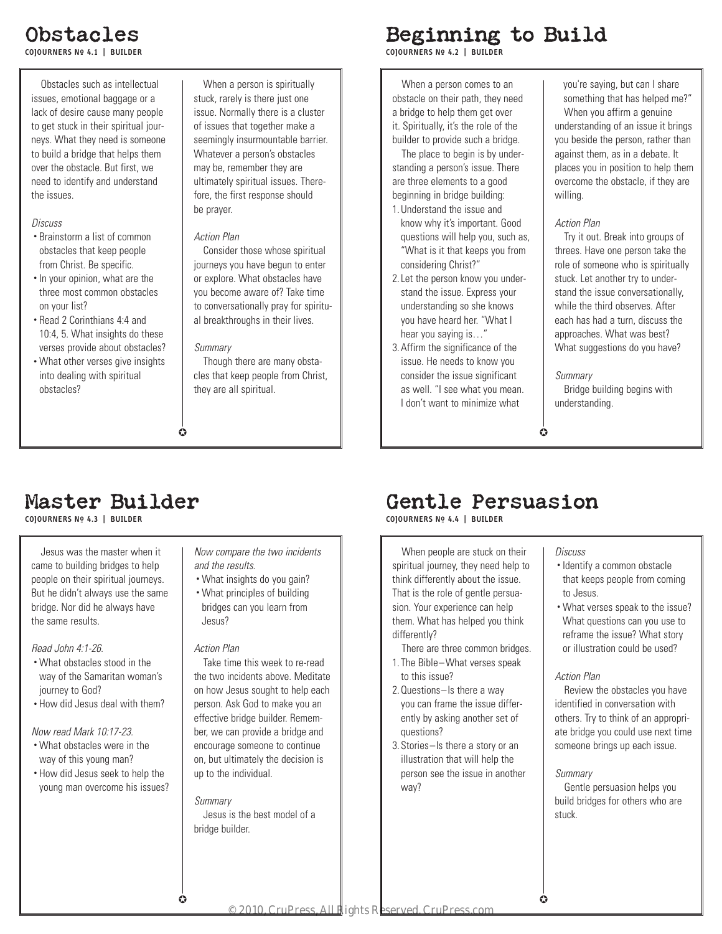# Obstacles

**COJOURNERS No\_ 4.1 | BUILDER**

Obstacles such as intellectual issues, emotional baggage or a lack of desire cause many people to get stuck in their spiritual journeys. What they need is someone to build a bridge that helps them over the obstacle. But first, we need to identify and understand the issues.

### *Discuss*

- Brainstorm a list of common obstacles that keep people from Christ. Be specific.
- In your opinion, what are the three most common obstacles on your list?
- Read 2 Corinthians 4:4 and 10:4, 5. What insights do these verses provide about obstacles?
- What other verses give insights into dealing with spiritual obstacles?

When a person is spiritually stuck, rarely is there just one issue. Normally there is a cluster of issues that together make a seemingly insurmountable barrier. Whatever a person's obstacles may be, remember they are ultimately spiritual issues. Therefore, the first response should be prayer.

### *Action Plan*

Consider those whose spiritual journeys you have begun to enter or explore. What obstacles have you become aware of? Take time to conversationally pray for spiritual breakthroughs in their lives.

### *Summary*

 $\bullet$ 

Though there are many obstacles that keep people from Christ, they are all spiritual.

# Beginning to Build

**COJOURNERS No\_ 4.2 | BUILDER**

When a person comes to an obstacle on their path, they need a bridge to help them get over it. Spiritually, it's the role of the builder to provide such a bridge.

The place to begin is by understanding a person's issue. There are three elements to a good beginning in bridge building:

- 1. Understand the issue and know why it's important. Good questions will help you, such as, "What is it that keeps you from considering Christ?"
- 2. Let the person know you understand the issue. Express your understanding so she knows you have heard her. "What I hear you saying is…"
- 3. Affirm the significance of the issue. He needs to know you consider the issue significant as well. "I see what you mean. I don't want to minimize what

you're saying, but can I share something that has helped me?" When you affirm a genuine understanding of an issue it brings you beside the person, rather than against them, as in a debate. It places you in position to help them overcome the obstacle, if they are willing.

### *Action Plan*

Try it out. Break into groups of threes. Have one person take the role of someone who is spiritually stuck. Let another try to understand the issue conversationally, while the third observes. After each has had a turn, discuss the approaches. What was best? What suggestions do you have?

### *Summary*

Bridge building begins with understanding.

 $\bullet$ 

## Master Builder

**COJOURNERS No\_ 4.3 | BUILDER**

Jesus was the master when it came to building bridges to help people on their spiritual journeys. But he didn't always use the same bridge. Nor did he always have the same results.

*Read John 4:1-26.* 

- What obstacles stood in the way of the Samaritan woman's journey to God?
- How did Jesus deal with them?

### *Now read Mark 10:17-23.*

- What obstacles were in the way of this young man?
- How did Jesus seek to help the young man overcome his issues?

### *Now compare the two incidents and the results*.

- What insights do you gain?
- What principles of building bridges can you learn from Jesus?

### *Action Plan*

Take time this week to re-read the two incidents above. Meditate on how Jesus sought to help each person. Ask God to make you an effective bridge builder. Remember, we can provide a bridge and encourage someone to continue on, but ultimately the decision is up to the individual.

### *Summary*

 $\bullet$ 

Jesus is the best model of a bridge builder.

# Gentle Persuasion

**COJOURNERS No\_ 4.4 | BUILDER**

When people are stuck on their spiritual journey, they need help to think differently about the issue. That is the role of gentle persuasion. Your experience can help them. What has helped you think differently?

- There are three common bridges. 1. The Bible–What verses speak
- to this issue? 2. Questions–Is there a way you can frame the issue differ-
- ently by asking another set of questions? 3. Stories–Is there a story or an
- illustration that will help the person see the issue in another way?

### *Discuss*

- Identify a common obstacle that keeps people from coming to Jesus.
- What verses speak to the issue? What questions can you use to reframe the issue? What story or illustration could be used?

### *Action Plan*

Review the obstacles you have identified in conversation with others. Try to think of an appropriate bridge you could use next time someone brings up each issue.

### *Summary*

 $\Omega$ 

Gentle persuasion helps you build bridges for others who are stuck.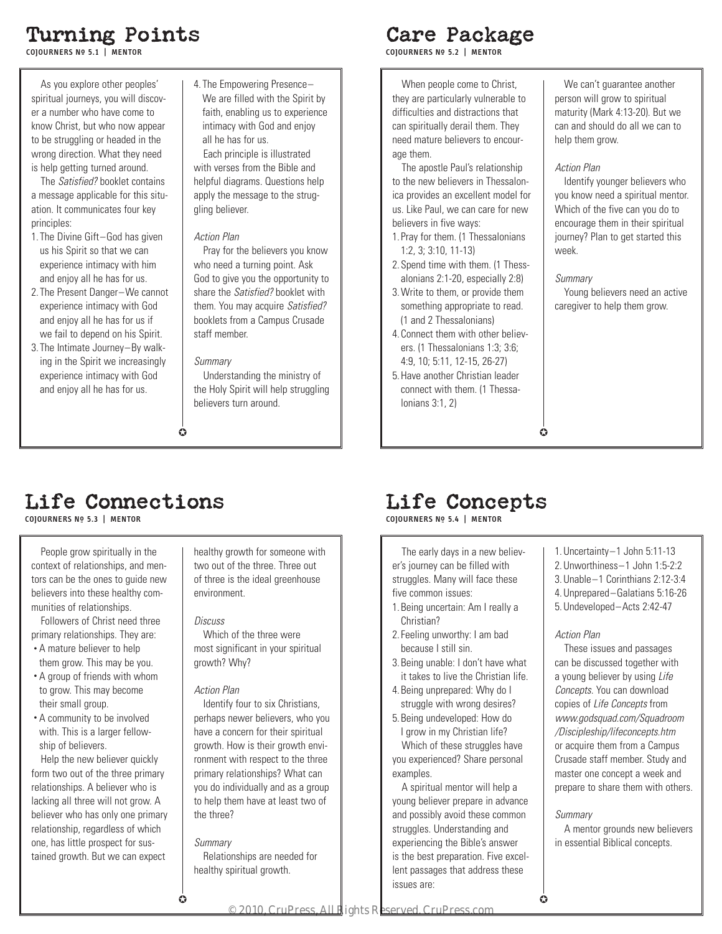# Turning Points

**COJOURNERS No\_ 5.1 | MENTOR**

As you explore other peoples' spiritual journeys, you will discover a number who have come to know Christ, but who now appear to be struggling or headed in the wrong direction. What they need is help getting turned around.

The *Satisfied?* booklet contains a message applicable for this situation. It communicates four key principles:

- 1. The Divine Gift–God has given us his Spirit so that we can experience intimacy with him and enjoy all he has for us.
- 2. The Present Danger–We cannot experience intimacy with God and enjoy all he has for us if we fail to depend on his Spirit.
- 3. The Intimate Journey–By walking in the Spirit we increasingly experience intimacy with God and enjoy all he has for us.

4. The Empowering Presence– We are filled with the Spirit by faith, enabling us to experience intimacy with God and enjoy all he has for us.

Each principle is illustrated with verses from the Bible and helpful diagrams. Questions help apply the message to the struggling believer.

### *Action Plan*

Pray for the believers you know who need a turning point. Ask God to give you the opportunity to share the *Satisfied?* booklet with them. You may acquire *Satisfied?* booklets from a Campus Crusade staff member.

### *Summary*

 $\bullet$ 

Understanding the ministry of the Holy Spirit will help struggling believers turn around.

## Care Package

**COJOURNERS No\_ 5.2 | MENTOR**

When people come to Christ, they are particularly vulnerable to difficulties and distractions that can spiritually derail them. They need mature believers to encourage them.

The apostle Paul's relationship to the new believers in Thessalonica provides an excellent model for us. Like Paul, we can care for new believers in five ways:

- 1. Pray for them. (1 Thessalonians 1:2, 3; 3:10, 11-13)
- 2. Spend time with them. (1 Thessalonians 2:1-20, especially 2:8)
- 3. Write to them, or provide them something appropriate to read. (1 and 2 Thessalonians)
- 4. Connect them with other believers. (1 Thessalonians 1:3; 3:6; 4:9, 10; 5:11, 12-15, 26-27)
- 5. Have another Christian leader connect with them. (1 Thessalonians 3:1, 2)

### We can't guarantee another person will grow to spiritual maturity (Mark 4:13-20). But we can and should do all we can to help them grow.

### *Action Plan*

Identify younger believers who you know need a spiritual mentor. Which of the five can you do to encourage them in their spiritual journey? Plan to get started this week.

### *Summary*

 $\bullet$ 

Young believers need an active caregiver to help them grow.

# Life Connections

**COJOURNERS No\_ 5.3 | MENTOR**

People grow spiritually in the context of relationships, and mentors can be the ones to guide new believers into these healthy communities of relationships.

Followers of Christ need three primary relationships. They are:

- A mature believer to help them grow. This may be you.
- A group of friends with whom to grow. This may become their small group.
- A community to be involved with. This is a larger fellowship of believers.

Help the new believer quickly form two out of the three primary relationships. A believer who is lacking all three will not grow. A believer who has only one primary relationship, regardless of which one, has little prospect for sustained growth. But we can expect

healthy growth for someone with two out of the three. Three out of three is the ideal greenhouse environment.

### *Discuss*

Which of the three were most significant in your spiritual growth? Why?

### *Action Plan*

Identify four to six Christians, perhaps newer believers, who you have a concern for their spiritual growth. How is their growth environment with respect to the three primary relationships? What can you do individually and as a group to help them have at least two of the three?

### *Summary*

 $\bullet$ 

Relationships are needed for healthy spiritual growth.

# Life Concepts

**COJOURNERS No\_ 5.4 | MENTOR**

The early days in a new believer's journey can be filled with struggles. Many will face these five common issues:

- 1. Being uncertain: Am I really a Christian?
- 2. Feeling unworthy: I am bad because I still sin.
- 3. Being unable: I don't have what it takes to live the Christian life.
- 4. Being unprepared: Why do I struggle with wrong desires?
- 5. Being undeveloped: How do I grow in my Christian life?

Which of these struggles have you experienced? Share personal examples.

A spiritual mentor will help a young believer prepare in advance and possibly avoid these common struggles. Understanding and experiencing the Bible's answer is the best preparation. Five excellent passages that address these issues are:

1. Uncertainty–1 John 5:11-13 2. Unworthiness–1 John 1:5-2:2 3. Unable–1 Corinthians 2:12-3:4

- 4. Unprepared–Galatians 5:16-26
- 5. Undeveloped–Acts 2:42-47

### *Action Plan*

These issues and passages can be discussed together with a young believer by using *Life Concepts*. You can download copies of *Life Concepts* from *www.godsquad.com/Squadroom /Discipleship/lifeconcepts.htm*  or acquire them from a Campus Crusade staff member. Study and master one concept a week and prepare to share them with others.

### *Summary*

 $\Omega$ 

A mentor grounds new believers in essential Biblical concepts.